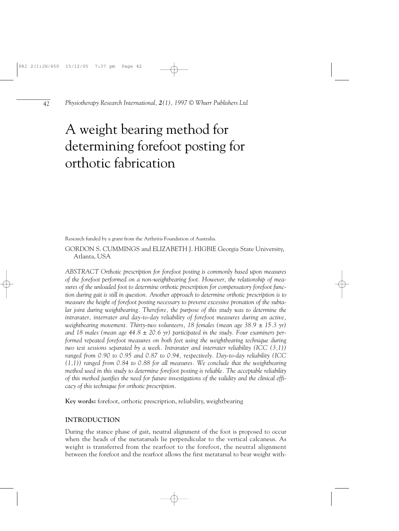# A weight bearing method for determining forefoot posting for orthotic fabrication

Research funded by a grant from the Arthritis Foundation of Australia.

GORDON S. CUMMINGS and ELIZABETH J. HIGBIE Georgia State University, Atlanta, USA

*ABSTRACT Orthotic prescription for forefoot posting is commonly based upon measures of the forefoot performed on a non-weightbearing foot. However, the relationship of measures of the unloaded foot to determine orthotic prescription for compensatory forefoot function during gait is still in question. Another approach to determine orthotic prescription is to measure the height of forefoot posting necessary to prevent excessive pronation of the subtalar joint during weightbearing. Therefore, the purpose of this study was to determine the intrarater, interrater and day-to-day reliability of forefoot measures during an active, weightbearing movement. Thirty-two volunteers, 18 females (mean age 38.9 ± 15.3 yr) and 18 males (mean age 44.8 ± 20.6 yr) participated in the study. Four examiners performed repeated forefoot measures on both feet using the weightbearing technique during two test sessions separated by a week. Intrarater and interrater reliability (ICC (3,1)) ranged from 0.90 to 0.95 and 0.87 to 0.94, respectively. Day-to-day reliability (ICC (1,1)) ranged from 0.84 to 0.88 for all measures. We conclude that the weightbearing method used in this study to determine forefoot posting is reliable. The acceptable reliability of this method justifies the need for future investigations of the validity and the clinical efficacy of this technique for orthotic prescription.*

**Key words:** forefoot, orthotic prescription, reliability, weightbearing

## **INTRODUCTION**

During the stance phase of gait, neutral alignment of the foot is proposed to occur when the heads of the metatarsals lie perpendicular to the vertical calcaneus. As weight is transferred from the rearfoot to the forefoot, the neutral alignment between the forefoot and the rearfoot allows the first metatarsal to bear weight with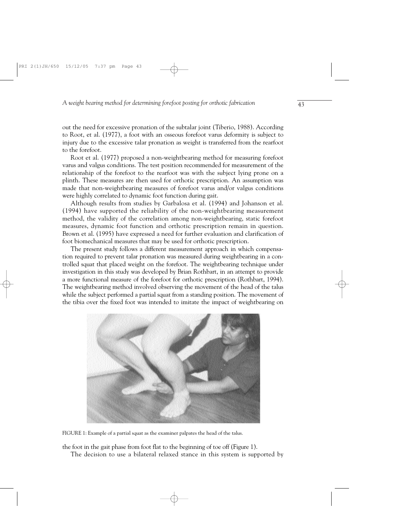out the need for excessive pronation of the subtalar joint (Tiberio, 1988). According to Root, et al. (1977), a foot with an osseous forefoot varus deformity is subject to injury due to the excessive talar pronation as weight is transferred from the rearfoot to the forefoot.

Root et al. (1977) proposed a non-weightbearing method for measuring forefoot varus and valgus conditions. The test position recommended for measurement of the relationship of the forefoot to the rearfoot was with the subject lying prone on a plinth. These measures are then used for orthotic prescription. An assumption was made that non-weightbearing measures of forefoot varus and/or valgus conditions were highly correlated to dynamic foot function during gait.

Although results from studies by Garbalosa et al. (1994) and Johanson et al. (1994) have supported the reliability of the non-weightbearing measurement method, the validity of the correlation among non-weightbearing, static forefoot measures, dynamic foot function and orthotic prescription remain in question. Brown et al. (1995) have expressed a need for further evaluation and clarification of foot biomechanical measures that may be used for orthotic prescription.

The present study follows a different measurement approach in which compensation required to prevent talar pronation was measured during weightbearing in a controlled squat that placed weight on the forefoot. The weightbearing technique under investigation in this study was developed by Brian Rothbart, in an attempt to provide a more functional measure of the forefoot for orthotic prescription (Rothbart, 1994). The weightbearing method involved observing the movement of the head of the talus while the subject performed a partial squat from a standing position. The movement of the tibia over the fixed foot was intended to imitate the impact of weightbearing on



FIGURE 1: Example of a partial squat as the examiner palpates the head of the talus.

the foot in the gait phase from foot flat to the beginning of toe off (Figure 1). The decision to use a bilateral relaxed stance in this system is supported by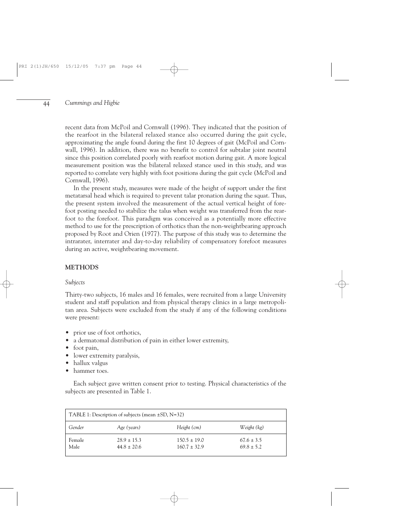recent data from McPoil and Cornwall (1996). They indicated that the position of the rearfoot in the bilateral relaxed stance also occurred during the gait cycle, approximating the angle found during the first 10 degrees of gait (McPoil and Cornwall, 1996). In addition, there was no benefit to control for subtalar joint neutral since this position correlated poorly with rearfoot motion during gait. A more logical measurement position was the bilateral relaxed stance used in this study, and was reported to correlate very highly with foot positions during the gait cycle (McPoil and Cornwall, 1996).

In the present study, measures were made of the height of support under the first metatarsal head which is required to prevent talar pronation during the squat. Thus, the present system involved the measurement of the actual vertical height of forefoot posting needed to stabilize the talus when weight was transferred from the rearfoot to the forefoot. This paradigm was conceived as a potentially more effective method to use for the prescription of orthotics than the non-weightbearing approach proposed by Root and Orien (1977). The purpose of this study was to determine the intrarater, interrater and day-to-day reliability of compensatory forefoot measures during an active, weightbearing movement.

## **METHODS**

## *Subjects*

Thirty-two subjects, 16 males and 16 females, were recruited from a large University student and staff population and from physical therapy clinics in a large metropolitan area. Subjects were excluded from the study if any of the following conditions were present:

- prior use of foot orthotics,
- a dermatomal distribution of pain in either lower extremity,
- foot pain,
- lower extremity paralysis,
- hallux valgus
- hammer toes.

Each subject gave written consent prior to testing. Physical characteristics of the subjects are presented in Table 1.

| TABLE 1: Description of subjects (mean $\pm$ SD, N=32) |                                    |                                      |                                  |  |  |  |
|--------------------------------------------------------|------------------------------------|--------------------------------------|----------------------------------|--|--|--|
| Gender                                                 | Age (years)                        | Height (cm)                          | Weight (kg)                      |  |  |  |
| Female<br>Male                                         | $28.9 \pm 15.3$<br>$44.8 \pm 20.6$ | $150.5 \pm 19.0$<br>$160.7 \pm 32.9$ | $67.6 \pm 3.5$<br>$69.8 \pm 5.2$ |  |  |  |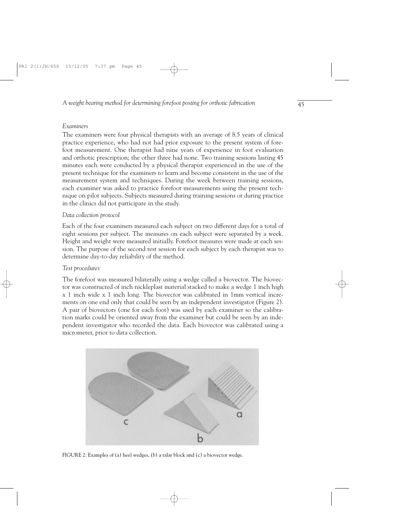### *Examiners*

The examiners were four physical therapists with an average of 8.5 years of clinical practice experience, who had not had prior exposure to the present system of forefoot measurement. One therapist had nine years of experience in foot evaluation and orthotic prescription; the other three had none. Two training sessions lasting 45 minutes each were conducted by a physical therapist experienced in the use of the present technique for the examiners to learn and become consistent in the use of the measurement system and techniques. During the week between training sessions, each examiner was asked to practice forefoot measurements using the present technique on pilot subjects. Subjects measured during training sessions or during practice in the clinics did not participate in the study.

## *Data collection protocol*

Each of the four examiners measured each subject on two different days for a total of eight sessions per subject. The measures on each subject were separated by a week. Height and weight were measured initially. Forefoot measures were made at each session. The purpose of the second test session for each subject by each therapist was to determine day-to-day reliability of the method.

## *Test procedures*

The forefoot was measured bilaterally using a wedge called a biovector. The biovector was constructed of inch nickleplast material stacked to make a wedge 1 inch high x 1 inch wide x 1 inch long. The biovector was calibrated in 1mm vertical increments on one end only that could be seen by an independent investigator (Figure 2). A pair of biovectors (one for each foot) was used by each examiner so the calibration marks could be oriented away from the examiner but could be seen by an independent investigator who recorded the data. Each biovector was calibrated using a micrometer, prior to data collection.



FIGURE 2: Examples of (a) heel wedges, (b) a talar block and (c) a biovector wedge.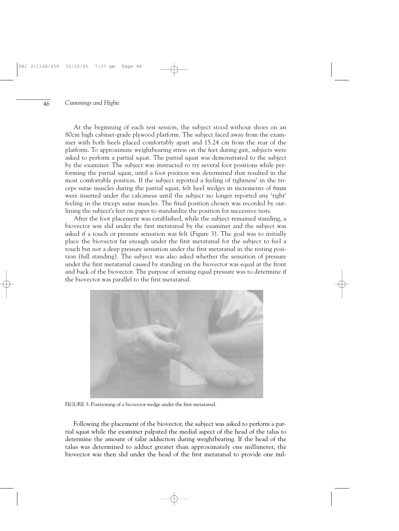At the beginning of each test session, the subject stood without shoes on an 80cm high cabinet-grade plywood platform. The subject faced away from the examiner with both heels placed comfortably apart and 15.24 cm from the rear of the platform. To approximate weightbearing stress on the feet during gait, subjects were asked to perform a partial squat. The partial squat was demonstrated to the subject by the examiner. The subject was instructed to try several foot positions while performing the partial squat, until a foot position was determined that resulted in the most comfortable position. If the subject reported a feeling of tightness' in the triceps surae muscles during the partial squat, felt heel wedges in increments of 6mm were inserted under the calcaneus until the subject no longer reported any 'tight' feeling in the triceps surae muscles. The final position chosen was recorded by outlining the subject's feet on paper to standardize the position for successive tests.

After the foot placement was established, while the subject remained standing, a biovector was slid under the first metatarsal by the examiner and the subject was asked if a touch or pressure sensation was felt (Figure 3). The goal was to initially place the biovector far enough under the first metatarsal for the subject to feel a touch but not a deep pressure sensation under the first metatarsal in the resting position (full standing). The subject was also asked whether the sensation of pressure under the first metatarsal caused by standing on the biovector was equal at the front and back of the biovector. The purpose of sensing equal pressure was to determine if the biovector was parallel to the first metatarsal.



FIGURE 3: Positioning of a biovector wedge under the first metatarsal.

Following the placement of the biovector, the subject was asked to perform a partial squat while the examiner palpated the medial aspect of the head of the talus to determine the amount of talar adduction during weightbearing. If the head of the talus was determined to adduct greater than approximately one millimeter, the biovector was then slid under the head of the first metatarsal to provide one mil-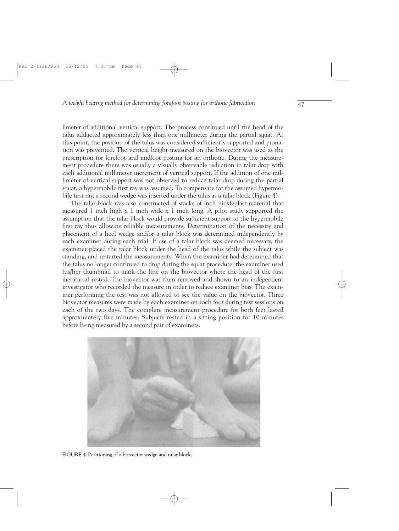limeter of additional vertical support. The process continued until the head of the talus adducted approximately less than one millimeter during the partial squat. At this point, the position of the talus was considered sufficiently supported and pronation was prevented. The vertical height measured on the biovector was used as the prescription for forefoot and midfoot posting for an orthotic. During the measurement procedure there was usually a visually observable reduction in talar drop with each additional millimeter increment of vertical support. If the addition of one millimeter of vertical support was not observed to reduce talar drop during the partial squat, a hypermobile first ray was assumed. To compensate for the assumed hypermobile first ray, a second wedge was inserted under the talus as a talar block (Figure 4).

The talar block was also constructed of stacks of inch nickleplast material that measured 1 inch high x 1 inch wide x 1 inch long. A pilot study supported the assumption that the talar block would provide sufficient support to the hypermobile first ray thus allowing reliable measurements. Determination of the necessity and placement of a heel wedge and/or a talar block was determined independently by each examiner during each trial. If use of a talar block was deemed necessary, the examiner placed the talar block under the head of the talus while the subject was standing, and restarted the measurements. When the examiner had determined that the talus no longer continued to drop during the squat procedure, the examiner used his/her thumbnail to mark the line on the biovector where the head of the first metatarsal rested. The biovector was then removed and shown to an independent investigator who recorded the measure in order to reduce examiner bias. The examiner performing the test was not allowed to see the value on the biovector. Three biovector measures were made by each examiner on each foot during test sessions on each of the two days. The complete measurement procedure for both feet lasted approximately five minutes. Subjects rested in a sitting position for 10 minutes before being measured by a second pair of examiners.



FIGURE 4: Positioning of a biovector wedge and talar block.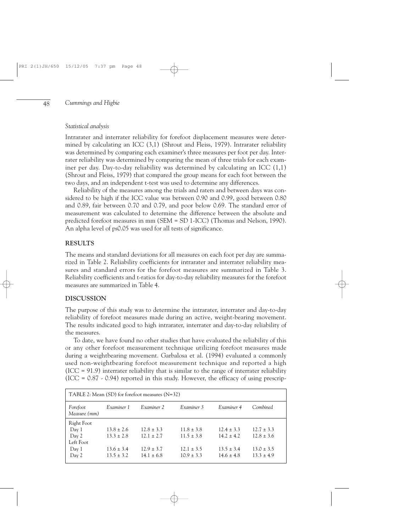#### *Statistical analysis*

Intrarater and interrater reliability for forefoot displacement measures were determined by calculating an ICC  $(3,1)$  (Shrout and Fleiss, 1979). Intrarater reliability was determined by comparing each examiner's three measures per foot per day. Interrater reliability was determined by comparing the mean of three trials for each examiner per day. Day-to-day reliability was determined by calculating an ICC  $(1,1)$ (Shrout and Fleiss, 1979) that compared the group means for each foot between the two days, and an independent t-test was used to determine any differences.

Reliability of the measures among the trials and raters and between days was considered to be high if the ICC value was between 0.90 and 0.99, good between 0.80 and 0.89, fair between 0.70 and 0.79, and poor below 0.69. The standard error of measurement was calculated to determine the difference between the absolute and predicted forefoot measures in mm (SEM = SD 1-ICC) (Thomas and Nelson, 1990). An alpha level of ps0.05 was used for all tests of significance.

#### **RESULTS**

The means and standard deviations for all measures on each foot per day are summarized in Table 2. Reliability coefficients for intrarater and interrater reliability measures and standard errors for the forefoot measures are summarized in Table 3. Reliability coefficients and t-ratios for day-to-day reliability measures for the forefoot measures are summarized in Table 4.

#### **DISCUSSION**

The purpose of this study was to determine the intrarater, interrater and day-to-day reliability of forefoot measures made during an active, weight-bearing movement. The results indicated good to high intrarater, interrater and day-to-day reliability of the measures.

To date, we have found no other studies that have evaluated the reliability of this or any other forefoot measurement technique utilizing forefoot measures made during a weightbearing movement. Garbalosa et al. (1994) evaluated a commonly used non-weightbearing forefoot measurement technique and reported a high  $(ICC = 91.9)$  interrater reliability that is similar to the range of interrater reliability  $(ICC = 0.87 - 0.94)$  reported in this study. However, the efficacy of using prescrip-

| TABLE 2: Mean (SD) for forefoot measures $(N=32)$ |                |                |                |                |                |  |  |  |
|---------------------------------------------------|----------------|----------------|----------------|----------------|----------------|--|--|--|
| Forefoot<br>Measure (mm)                          | Examiner 1     | Examiner 2     | Examiner 3     | Examiner 4     | Combined       |  |  |  |
| Right Foot                                        |                |                |                |                |                |  |  |  |
| Day 1                                             | $13.8 \pm 2.6$ | $12.8 \pm 3.3$ | $11.8 \pm 3.8$ | $12.4 \pm 3.3$ | $12.7 \pm 3.3$ |  |  |  |
| Day 2                                             | $13.3 \pm 2.8$ | $12.1 \pm 2.7$ | $11.5 \pm 3.8$ | $14.2 \pm 4.2$ | $12.8 \pm 3.6$ |  |  |  |
| Left Foot                                         |                |                |                |                |                |  |  |  |
| Day 1                                             | $13.6 \pm 3.4$ | $12.9 \pm 3.7$ | $12.1 \pm 3.5$ | $13.5 \pm 3.4$ | $13.0 \pm 3.5$ |  |  |  |
| Day 2                                             | $13.5 \pm 3.2$ | $14.1 \pm 6.8$ | $10.9 \pm 3.3$ | $14.6 \pm 4.8$ | $13.3 \pm 4.9$ |  |  |  |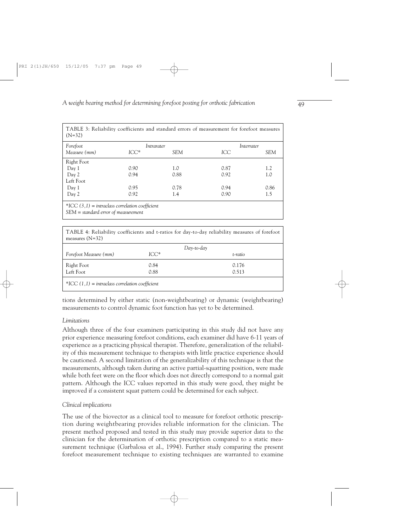| TABLE 3: Reliability coefficients and standard errors of measurement for forefoot measures<br>$(N=32)$ |                             |            |      |                          |
|--------------------------------------------------------------------------------------------------------|-----------------------------|------------|------|--------------------------|
| Forefoot<br>Measure (mm)                                                                               | Intrarater<br>$\text{ICC*}$ | <b>SEM</b> | ICC  | Interrater<br><b>SEM</b> |
| <b>Right Foot</b>                                                                                      |                             |            |      |                          |
| Day 1                                                                                                  | 0.90                        | 1.0        | 0.87 | 1.2                      |
| Day 2                                                                                                  | 0.94                        | 0.88       | 0.92 | 1.0                      |
| Left Foot                                                                                              |                             |            |      |                          |
| Day 1                                                                                                  | 0.95                        | 0.78       | 0.94 | 0.86                     |
| Day 2                                                                                                  | 0.92                        | 1.4        | 0.90 | 1.5                      |
| ${}^*ICC(3,1)$ = intraclass correlation coefficient<br>$SEM = standard error of measurement$           |                             |            |      |                          |

TABLE 4: Reliability coefficients and t-ratios for day-to-day reliability measures of forefoot measures (N=32) *Day-to-day Forefoot Measure (mm) ICC\* t-ratio* Right Foot 0.84 0.176 Left Foot  $0.88$   $0.513$ *\*ICC (1,1) = intraclass correlation coefficient*

tions determined by either static (non-weightbearing) or dynamic (weightbearing) measurements to control dynamic foot function has yet to be determined.

# *Limitations*

Although three of the four examiners participating in this study did not have any prior experience measuring forefoot conditions, each examiner did have 6-11 years of experience as a practicing physical therapist. Therefore, generalization of the reliability of this measurement technique to therapists with little practice experience should be cautioned. A second limitation of the generalizability of this technique is that the measurements, although taken during an active partial-squatting position, were made while both feet were on the floor which does not directly correspond to a normal gait pattern. Although the ICC values reported in this study were good, they might be improved if a consistent squat pattern could be determined for each subject.

# *Clinical implications*

The use of the biovector as a clinical tool to measure for forefoot orthotic prescription during weightbearing provides reliable information for the clinician. The present method proposed and tested in this study may provide superior data to the clinician for the determination of orthotic prescription compared to a static measurement technique (Garbalosa et al., 1994). Further study comparing the present forefoot measurement technique to existing techniques are warranted to examine